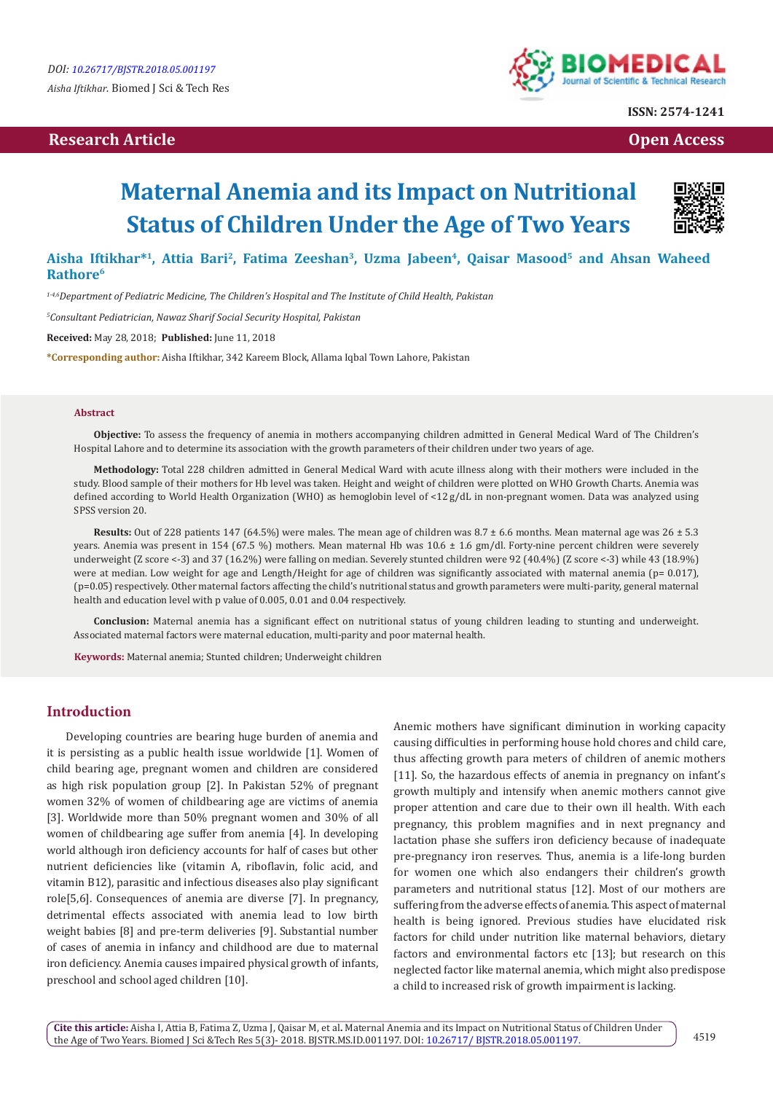## **Research Article Open Access Contract Article Open Access Open Access Open Access**



**ISSN: 2574-1241**

# **Maternal Anemia and its Impact on Nutritional Status of Children Under the Age of Two Years**



Aisha Iftikhar<sup>\*1</sup>, Attia Bari<sup>2</sup>, Fatima Zeeshan<sup>3</sup>, Uzma Jabeen<sup>4</sup>, Qaisar Masood<sup>5</sup> and Ahsan Waheed **Rathore6**

*1-4,6Department of Pediatric Medicine, The Children's Hospital and The Institute of Child Health, Pakistan*

*5 Consultant Pediatrician, Nawaz Sharif Social Security Hospital, Pakistan*

**Received:** May 28, 2018; **Published:** June 11, 2018

**\*Corresponding author:** Aisha Iftikhar, 342 Kareem Block, Allama Iqbal Town Lahore, Pakistan

#### **Abstract**

**Objective:** To assess the frequency of anemia in mothers accompanying children admitted in General Medical Ward of The Children's Hospital Lahore and to determine its association with the growth parameters of their children under two years of age.

**Methodology:** Total 228 children admitted in General Medical Ward with acute illness along with their mothers were included in the study. Blood sample of their mothers for Hb level was taken. Height and weight of children were plotted on WHO Growth Charts. Anemia was defined according to World Health Organization (WHO) as hemoglobin level of <12 g/dL in non-pregnant women. Data was analyzed using SPSS version 20.

**Results:** Out of 228 patients 147 (64.5%) were males. The mean age of children was 8.7 ± 6.6 months. Mean maternal age was 26 ± 5.3 years. Anemia was present in 154 (67.5 %) mothers. Mean maternal Hb was  $10.6 \pm 1.6$  gm/dl. Forty-nine percent children were severely underweight (Z score <-3) and 37 (16.2%) were falling on median. Severely stunted children were 92 (40.4%) (Z score <-3) while 43 (18.9%) were at median. Low weight for age and Length/Height for age of children was significantly associated with maternal anemia ( $p= 0.017$ ), (p=0.05) respectively. Other maternal factors affecting the child's nutritional status and growth parameters were multi-parity, general maternal health and education level with p value of 0.005, 0.01 and 0.04 respectively.

**Conclusion:** Maternal anemia has a significant effect on nutritional status of young children leading to stunting and underweight. Associated maternal factors were maternal education, multi-parity and poor maternal health.

**Keywords:** Maternal anemia; Stunted children; Underweight children

#### **Introduction**

Developing countries are bearing huge burden of anemia and it is persisting as a public health issue worldwide [1]. Women of child bearing age, pregnant women and children are considered as high risk population group [2]. In Pakistan 52% of pregnant women 32% of women of childbearing age are victims of anemia [3]. Worldwide more than 50% pregnant women and 30% of all women of childbearing age suffer from anemia [4]. In developing world although iron deficiency accounts for half of cases but other nutrient deficiencies like (vitamin A, riboflavin, folic acid, and vitamin B12), parasitic and infectious diseases also play significant role[5,6]. Consequences of anemia are diverse [7]. In pregnancy, detrimental effects associated with anemia lead to low birth weight babies [8] and pre-term deliveries [9]. Substantial number of cases of anemia in infancy and childhood are due to maternal iron deficiency. Anemia causes impaired physical growth of infants, preschool and school aged children [10].

Anemic mothers have significant diminution in working capacity causing difficulties in performing house hold chores and child care, thus affecting growth para meters of children of anemic mothers [11]. So, the hazardous effects of anemia in pregnancy on infant's growth multiply and intensify when anemic mothers cannot give proper attention and care due to their own ill health. With each pregnancy, this problem magnifies and in next pregnancy and lactation phase she suffers iron deficiency because of inadequate pre-pregnancy iron reserves. Thus, anemia is a life-long burden for women one which also endangers their children's growth parameters and nutritional status [12]. Most of our mothers are suffering from the adverse effects of anemia. This aspect of maternal health is being ignored. Previous studies have elucidated risk factors for child under nutrition like maternal behaviors, dietary factors and environmental factors etc [13]; but research on this neglected factor like maternal anemia, which might also predispose a child to increased risk of growth impairment is lacking.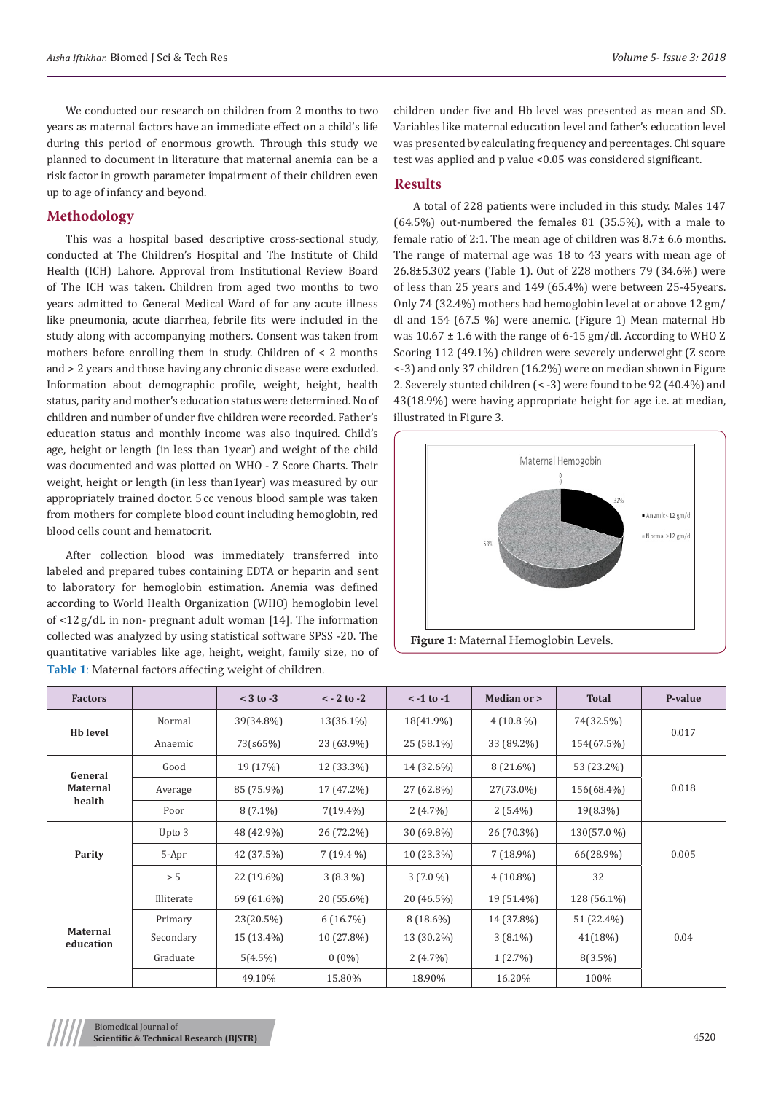We conducted our research on children from 2 months to two years as maternal factors have an immediate effect on a child's life during this period of enormous growth. Through this study we planned to document in literature that maternal anemia can be a risk factor in growth parameter impairment of their children even up to age of infancy and beyond.

### **Methodology**

This was a hospital based descriptive cross-sectional study, conducted at The Children's Hospital and The Institute of Child Health (ICH) Lahore. Approval from Institutional Review Board of The ICH was taken. Children from aged two months to two years admitted to General Medical Ward of for any acute illness like pneumonia, acute diarrhea, febrile fits were included in the study along with accompanying mothers. Consent was taken from mothers before enrolling them in study. Children of < 2 months and > 2 years and those having any chronic disease were excluded. Information about demographic profile, weight, height, health status, parity and mother's education status were determined. No of children and number of under five children were recorded. Father's education status and monthly income was also inquired. Child's age, height or length (in less than 1year) and weight of the child was documented and was plotted on WHO - Z Score Charts. Their weight, height or length (in less than1year) was measured by our appropriately trained doctor. 5 cc venous blood sample was taken from mothers for complete blood count including hemoglobin, red blood cells count and hematocrit.

After collection blood was immediately transferred into labeled and prepared tubes containing EDTA or heparin and sent to laboratory for hemoglobin estimation. Anemia was defined according to World Health Organization (WHO) hemoglobin level of <12 g/dL in non- pregnant adult woman [14]. The information collected was analyzed by using statistical software SPSS -20. The quantitative variables like age, height, weight, family size, no of **Table 1**: Maternal factors affecting weight of children.

children under five and Hb level was presented as mean and SD. Variables like maternal education level and father's education level was presented by calculating frequency and percentages. Chi square test was applied and p value <0.05 was considered significant.

#### **Results**

A total of 228 patients were included in this study. Males 147 (64.5%) out-numbered the females 81 (35.5%), with a male to female ratio of 2:1. The mean age of children was 8.7± 6.6 months. The range of maternal age was 18 to 43 years with mean age of 26.8±5.302 years (Table 1). Out of 228 mothers 79 (34.6%) were of less than 25 years and 149 (65.4%) were between 25-45years. Only 74 (32.4%) mothers had hemoglobin level at or above 12 gm/ dl and 154 (67.5 %) were anemic. (Figure 1) Mean maternal Hb was 10.67 ± 1.6 with the range of 6-15 gm/dl. According to WHO Z Scoring 112 (49.1%) children were severely underweight (Z score <-3) and only 37 children (16.2%) were on median shown in Figure 2. Severely stunted children (< -3) were found to be 92 (40.4%) and 43(18.9%) were having appropriate height for age i.e. at median, illustrated in Figure 3.



| <b>Factors</b>                       |            | $<$ 3 to $-3$ | $< -2$ to $-2$ | $\le$ -1 to -1 | Median or > | <b>Total</b> | P-value |
|--------------------------------------|------------|---------------|----------------|----------------|-------------|--------------|---------|
| <b>Hb</b> level                      | Normal     | 39(34.8%)     | 13(36.1%)      | 18(41.9%)      | $4(10.8\%)$ | 74(32.5%)    | 0.017   |
|                                      | Anaemic    | 73(s65%)      | 23 (63.9%)     | 25 (58.1%)     | 33 (89.2%)  | 154(67.5%)   |         |
| General<br><b>Maternal</b><br>health | Good       | 19 (17%)      | 12 (33.3%)     | 14 (32.6%)     | $8(21.6\%)$ | 53 (23.2%)   | 0.018   |
|                                      | Average    | 85 (75.9%)    | 17 (47.2%)     | 27 (62.8%)     | 27(73.0%)   | 156(68.4%)   |         |
|                                      | Poor       | $8(7.1\%)$    | $7(19.4\%)$    | $2(4.7\%)$     | $2(5.4\%)$  | 19(8.3%)     |         |
| Parity                               | Upto 3     | 48 (42.9%)    | 26 (72.2%)     | 30 (69.8%)     | 26 (70.3%)  | 130(57.0 %)  | 0.005   |
|                                      | 5-Apr      | 42 (37.5%)    | $7(19.4\%)$    | $10(23.3\%)$   | $7(18.9\%)$ | 66(28.9%)    |         |
|                                      | $> 5$      | 22 (19.6%)    | $3(8.3\%)$     | $3(7.0\%)$     | $4(10.8\%)$ | 32           |         |
| Maternal<br>education                | Illiterate | 69 (61.6%)    | 20 (55.6%)     | 20 (46.5%)     | 19 (51.4%)  | 128 (56.1%)  | 0.04    |
|                                      | Primary    | 23(20.5%)     | 6(16.7%)       | $8(18.6\%)$    | 14 (37.8%)  | 51 (22.4%)   |         |
|                                      | Secondary  | 15 (13.4%)    | 10 (27.8%)     | 13 (30.2%)     | $3(8.1\%)$  | 41(18%)      |         |
|                                      | Graduate   | $5(4.5\%)$    | $0(0\%)$       | $2(4.7\%)$     | $1(2.7\%)$  | $8(3.5\%)$   |         |
|                                      |            | 49.10%        | 15.80%         | 18.90%         | 16.20%      | 100%         |         |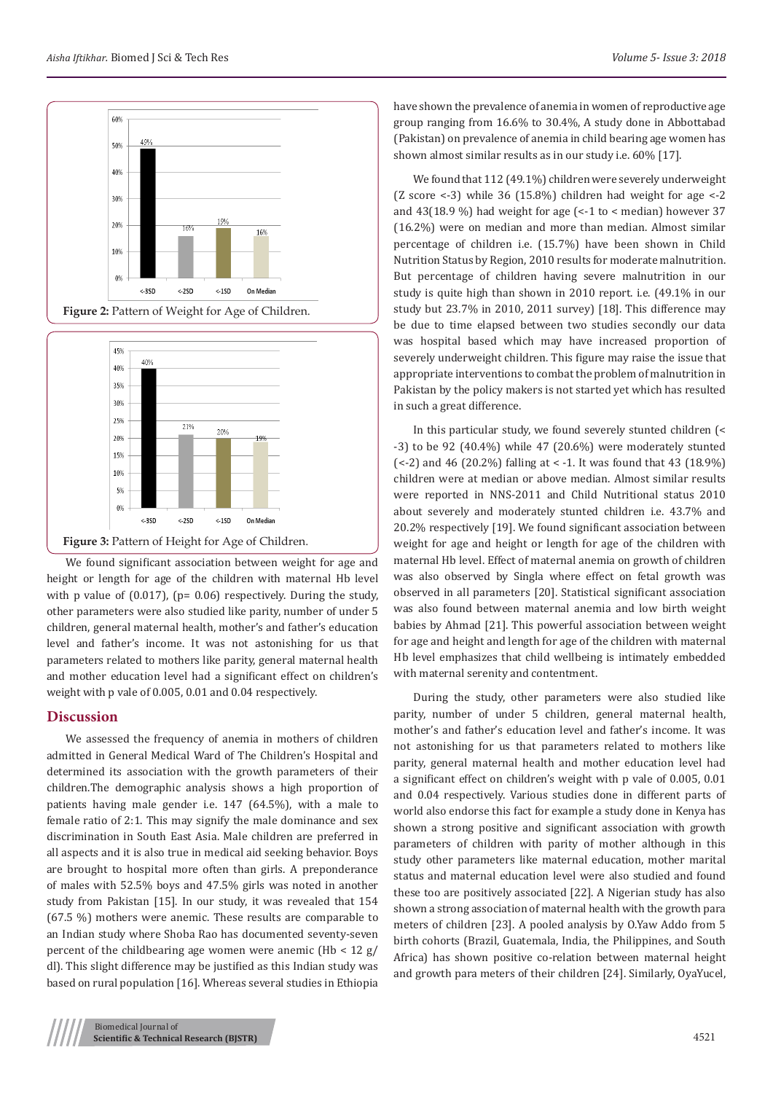



We found significant association between weight for age and height or length for age of the children with maternal Hb level with p value of (0.017), (p= 0.06) respectively. During the study, other parameters were also studied like parity, number of under 5 children, general maternal health, mother's and father's education level and father's income. It was not astonishing for us that parameters related to mothers like parity, general maternal health and mother education level had a significant effect on children's weight with p vale of 0.005, 0.01 and 0.04 respectively.

#### **Discussion**

We assessed the frequency of anemia in mothers of children admitted in General Medical Ward of The Children's Hospital and determined its association with the growth parameters of their children.The demographic analysis shows a high proportion of patients having male gender i.e. 147 (64.5%), with a male to female ratio of 2:1. This may signify the male dominance and sex discrimination in South East Asia. Male children are preferred in all aspects and it is also true in medical aid seeking behavior. Boys are brought to hospital more often than girls. A preponderance of males with 52.5% boys and 47.5% girls was noted in another study from Pakistan [15]. In our study, it was revealed that 154 (67.5 %) mothers were anemic. These results are comparable to an Indian study where Shoba Rao has documented seventy-seven percent of the childbearing age women were anemic  $(Hb < 12 g)$ dl). This slight difference may be justified as this Indian study was based on rural population [16]. Whereas several studies in Ethiopia

have shown the prevalence of anemia in women of reproductive age group ranging from 16.6% to 30.4%, A study done in Abbottabad (Pakistan) on prevalence of anemia in child bearing age women has shown almost similar results as in our study i.e. 60% [17].

We found that 112 (49.1%) children were severely underweight (Z score  $\langle -3 \rangle$  while 36 (15.8%) children had weight for age  $\langle -2 \rangle$ and 43(18.9 %) had weight for age (<-1 to < median) however 37 (16.2%) were on median and more than median. Almost similar percentage of children i.e. (15.7%) have been shown in Child Nutrition Status by Region, 2010 results for moderate malnutrition. But percentage of children having severe malnutrition in our study is quite high than shown in 2010 report. i.e. (49.1% in our study but 23.7% in 2010, 2011 survey) [18]. This difference may be due to time elapsed between two studies secondly our data was hospital based which may have increased proportion of severely underweight children. This figure may raise the issue that appropriate interventions to combat the problem of malnutrition in Pakistan by the policy makers is not started yet which has resulted in such a great difference.

In this particular study, we found severely stunted children (< -3) to be 92 (40.4%) while 47 (20.6%) were moderately stunted  $(-2)$  and 46 (20.2%) falling at  $\lt$  -1. It was found that 43 (18.9%) children were at median or above median. Almost similar results were reported in NNS-2011 and Child Nutritional status 2010 about severely and moderately stunted children i.e. 43.7% and 20.2% respectively [19]. We found significant association between weight for age and height or length for age of the children with maternal Hb level. Effect of maternal anemia on growth of children was also observed by Singla where effect on fetal growth was observed in all parameters [20]. Statistical significant association was also found between maternal anemia and low birth weight babies by Ahmad [21]. This powerful association between weight for age and height and length for age of the children with maternal Hb level emphasizes that child wellbeing is intimately embedded with maternal serenity and contentment.

During the study, other parameters were also studied like parity, number of under 5 children, general maternal health, mother's and father's education level and father's income. It was not astonishing for us that parameters related to mothers like parity, general maternal health and mother education level had a significant effect on children's weight with p vale of 0.005, 0.01 and 0.04 respectively. Various studies done in different parts of world also endorse this fact for example a study done in Kenya has shown a strong positive and significant association with growth parameters of children with parity of mother although in this study other parameters like maternal education, mother marital status and maternal education level were also studied and found these too are positively associated [22]. A Nigerian study has also shown a strong association of maternal health with the growth para meters of children [23]. A pooled analysis by O.Yaw Addo from 5 birth cohorts (Brazil, Guatemala, India, the Philippines, and South Africa) has shown positive co-relation between maternal height and growth para meters of their children [24]. Similarly, OyaYucel,